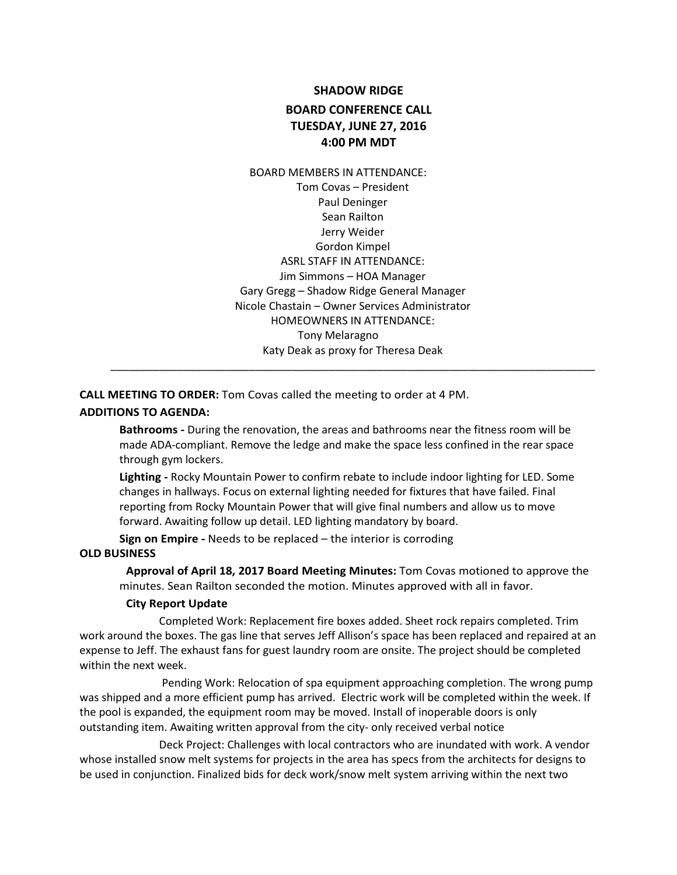# **SHADOW RIDGE BOARD CONFERENCE CALL TUESDAY, JUNE 27, 2016 4:00 PM MDT**

BOARD MEMBERS IN ATTENDANCE: Tom Covas – President Paul Deninger Sean Railton Jerry Weider Gordon Kimpel ASRL STAFF IN ATTENDANCE: Jim Simmons – HOA Manager Gary Gregg – Shadow Ridge General Manager Nicole Chastain – Owner Services Administrator HOMEOWNERS IN ATTENDANCE: Tony Melaragno Katy Deak as proxy for Theresa Deak

**CALL MEETING TO ORDER:** Tom Covas called the meeting to order at 4 PM.

#### **ADDITIONS TO AGENDA:**

**Bathrooms -** During the renovation, the areas and bathrooms near the fitness room will be made ADA-compliant. Remove the ledge and make the space less confined in the rear space through gym lockers.

\_\_\_\_\_\_\_\_\_\_\_\_\_\_\_\_\_\_\_\_\_\_\_\_\_\_\_\_\_\_\_\_\_\_\_\_\_\_\_\_\_\_\_\_\_\_\_\_\_\_\_\_\_\_\_\_\_\_\_\_\_\_\_\_\_\_\_\_\_\_\_\_\_\_\_\_\_\_\_\_

**Lighting -** Rocky Mountain Power to confirm rebate to include indoor lighting for LED. Some changes in hallways. Focus on external lighting needed for fixtures that have failed. Final reporting from Rocky Mountain Power that will give final numbers and allow us to move forward. Awaiting follow up detail. LED lighting mandatory by board.

**Sign on Empire -** Needs to be replaced – the interior is corroding **OLD BUSINESS**

> **Approval of April 18, 2017 Board Meeting Minutes:** Tom Covas motioned to approve the minutes. Sean Railton seconded the motion. Minutes approved with all in favor.

#### **City Report Update**

Completed Work: Replacement fire boxes added. Sheet rock repairs completed. Trim work around the boxes. The gas line that serves Jeff Allison's space has been replaced and repaired at an expense to Jeff. The exhaust fans for guest laundry room are onsite. The project should be completed within the next week.

Pending Work: Relocation of spa equipment approaching completion. The wrong pump was shipped and a more efficient pump has arrived. Electric work will be completed within the week. If the pool is expanded, the equipment room may be moved. Install of inoperable doors is only outstanding item. Awaiting written approval from the city- only received verbal notice

Deck Project: Challenges with local contractors who are inundated with work. A vendor whose installed snow melt systems for projects in the area has specs from the architects for designs to be used in conjunction. Finalized bids for deck work/snow melt system arriving within the next two